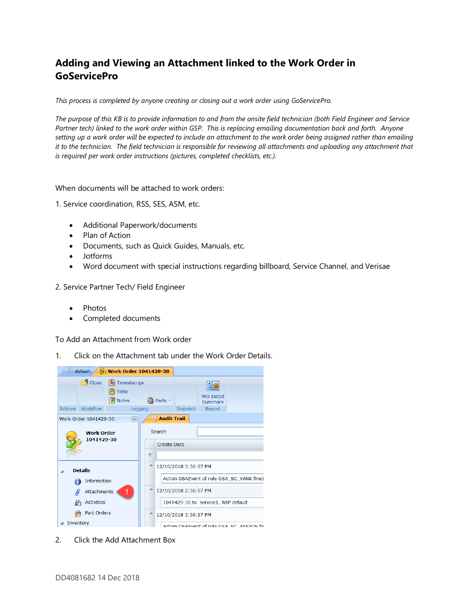## **Adding and Viewing an Attachment linked to the Work Order in GoServicePro**

*This process is completed by anyone creating or closing out a work order using GoServicePro.*

*The purpose of this KB is to provide information to and from the onsite field technician (both Field Engineer and Service Partner tech) linked to the work order within GSP. This is replacing emailing documentation back and forth. Anyone setting up a work order will be expected to include an attachment to the work order being assigned rather than emailing it to the technician. The field technician is responsible for reviewing all attachments and uploading any attachment that is required per work order instructions (pictures, completed checklists, etc.).*

When documents will be attached to work orders:

1. Service coordination, RSS, SES, ASM, etc.

- Additional Paperwork/documents
- Plan of Action
- Documents, such as Quick Guides, Manuals, etc.
- Jotforms
- Word document with special instructions regarding billboard, Service Channel, and Verisae
- 2. Service Partner Tech/ Field Engineer
	- Photos
	- Completed documents

To Add an Attachment from Work order

1. Click on the Attachment tab under the Work Order Details.



2. Click the Add Attachment Box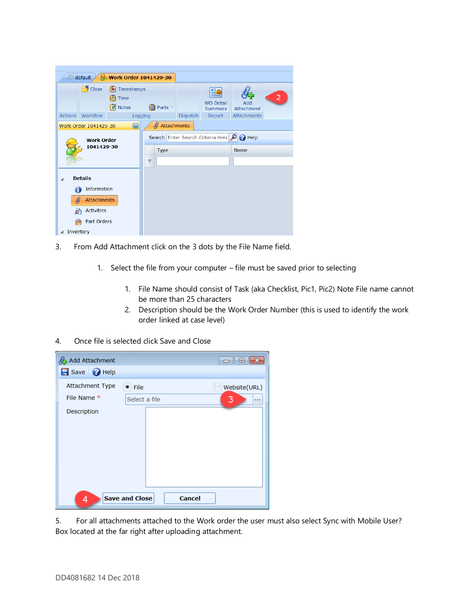| default<br><b>Work Order 1041429-30</b><br>Ħ                                  |                    |  |                                                    |                 |                             |                   |                |  |  |  |  |  |  |
|-------------------------------------------------------------------------------|--------------------|--|----------------------------------------------------|-----------------|-----------------------------|-------------------|----------------|--|--|--|--|--|--|
| Close<br>₿<br>Timestamps<br><b>D</b> Time<br><b>X</b> Notes<br><b>图 Parts</b> |                    |  |                                                    |                 | <b>WO Detail</b><br>Summary | Add<br>Attachment | $\overline{2}$ |  |  |  |  |  |  |
| Actions                                                                       | Workflow           |  | Logging                                            | <b>Dispatch</b> | Report                      | Attachments       |                |  |  |  |  |  |  |
| Attachments<br>f)<br>Work Order 1041429-30<br> ⊶                              |                    |  |                                                    |                 |                             |                   |                |  |  |  |  |  |  |
|                                                                               | <b>Work Order</b>  |  | Search Enter Search Criteria Here<br><b>P</b> Help |                 |                             |                   |                |  |  |  |  |  |  |
| 1041429-30                                                                    |                    |  | Type                                               |                 |                             | <b>Name</b>       |                |  |  |  |  |  |  |
|                                                                               |                    |  | $\overline{\mathbf{Y}}$                            |                 |                             |                   |                |  |  |  |  |  |  |
| ⊿                                                                             | <b>Details</b>     |  |                                                    |                 |                             |                   |                |  |  |  |  |  |  |
| Information                                                                   |                    |  |                                                    |                 |                             |                   |                |  |  |  |  |  |  |
| O                                                                             | <b>Attachments</b> |  |                                                    |                 |                             |                   |                |  |  |  |  |  |  |
| P                                                                             | <b>Activities</b>  |  |                                                    |                 |                             |                   |                |  |  |  |  |  |  |
|                                                                               | Part Orders        |  |                                                    |                 |                             |                   |                |  |  |  |  |  |  |
| Inventory                                                                     |                    |  |                                                    |                 |                             |                   |                |  |  |  |  |  |  |

- 3. From Add Attachment click on the 3 dots by the File Name field.
	- 1. Select the file from your computer file must be saved prior to selecting
		- 1. File Name should consist of Task (aka Checklist, Pic1, Pic2) Note File name cannot be more than 25 characters
		- 2. Description should be the Work Order Number (this is used to identify the work order linked at case level)
- 4. Once file is selected click Save and Close



5. For all attachments attached to the Work order the user must also select Sync with Mobile User? Box located at the far right after uploading attachment.